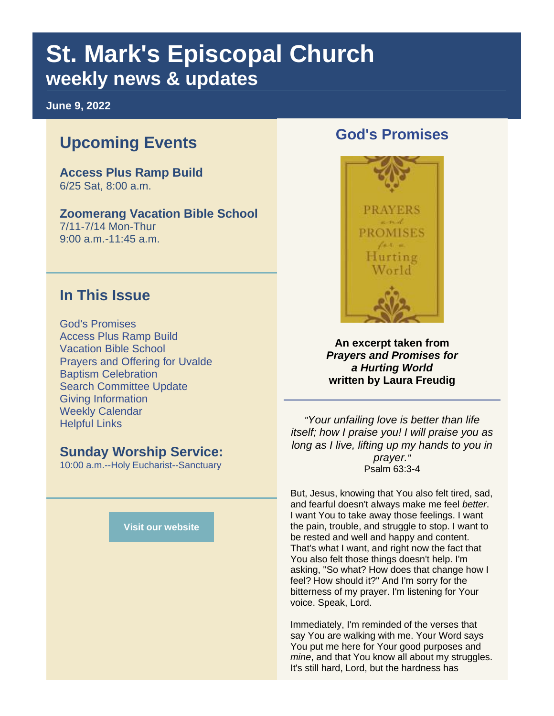## **St. Mark's Episcopal Church weekly news & updates**

**June 9, 2022**

## **Upcoming Events**

**Access Plus Ramp Build** 6/25 Sat, 8:00 a.m.

#### **Zoomerang Vacation Bible School**

7/11-7/14 Mon-Thur 9:00 a.m.-11:45 a.m.

#### **In This Issue**

God's Promises Access Plus Ramp Build Vacation Bible School Prayers and Offering for Uvalde Baptism Celebration Search Committee Update Giving Information Weekly Calendar Helpful Links

#### **Sunday Worship Service:**

10:00 a.m.--Holy Eucharist--Sanctuary

**[Visit our website](https://r20.rs6.net/tn.jsp?f=001HgR7Xef5OkNrz1zCzuE4AZRmwIznpm9rI-njH02Uge3Ffbw49ZCfT74kZktfZEcVS0UrwXwJoxch2Yas2TD51uXSpZefR_A-2snoXU7elYgEn6qMQeKXC552SdLgB_1nIv0vLY0VSH92PJfbunHPCA==&c=UhQhzr1TWp-i_XAVLLpvnNZ_Fts1IqUHWmZOF75btaVxBa07JDqMQA==&ch=Tyim6LnlW2vJXjsoPMrO1XyAy6OlkTSeRJIGpYUFNrk_CgfmoTz7oQ==)**

#### **God's Promises**



**An excerpt taken from**  *Prayers and Promises for a Hurting World* **written by Laura Freudig**

*"Your unfailing love is better than life itself; how I praise you! I will praise you as long as I live, lifting up my hands to you in prayer."* Psalm 63:3-4

But, Jesus, knowing that You also felt tired, sad, and fearful doesn't always make me feel *better*. I want You to take away those feelings. I want the pain, trouble, and struggle to stop. I want to be rested and well and happy and content. That's what I want, and right now the fact that You also felt those things doesn't help. I'm asking, "So what? How does that change how I feel? How should it?" And I'm sorry for the bitterness of my prayer. I'm listening for Your voice. Speak, Lord.

Immediately, I'm reminded of the verses that say You are walking with me. Your Word says You put me here for Your good purposes and *mine*, and that You know all about my struggles. It's still hard, Lord, but the hardness has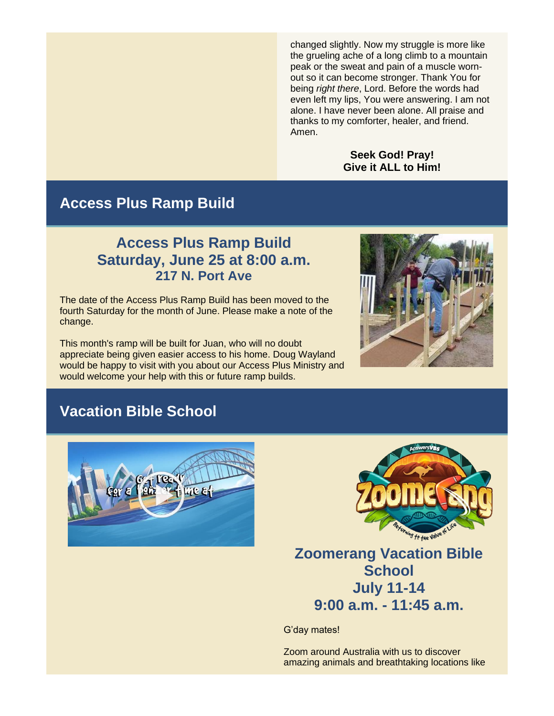changed slightly. Now my struggle is more like the grueling ache of a long climb to a mountain peak or the sweat and pain of a muscle wornout so it can become stronger. Thank You for being *right there*, Lord. Before the words had even left my lips, You were answering. I am not alone. I have never been alone. All praise and thanks to my comforter, healer, and friend. Amen.

#### **Seek God! Pray! Give it ALL to Him!**

#### **Access Plus Ramp Build**

#### **Access Plus Ramp Build Saturday, June 25 at 8:00 a.m. 217 N. Port Ave**

The date of the Access Plus Ramp Build has been moved to the fourth Saturday for the month of June. Please make a note of the change.

This month's ramp will be built for Juan, who will no doubt appreciate being given easier access to his home. Doug Wayland would be happy to visit with you about our Access Plus Ministry and would welcome your help with this or future ramp builds.



## **Vacation Bible School**





## **Zoomerang Vacation Bible School July 11-14 9:00 a.m. - 11:45 a.m.**

G'day mates!

Zoom around Australia with us to discover amazing animals and breathtaking locations like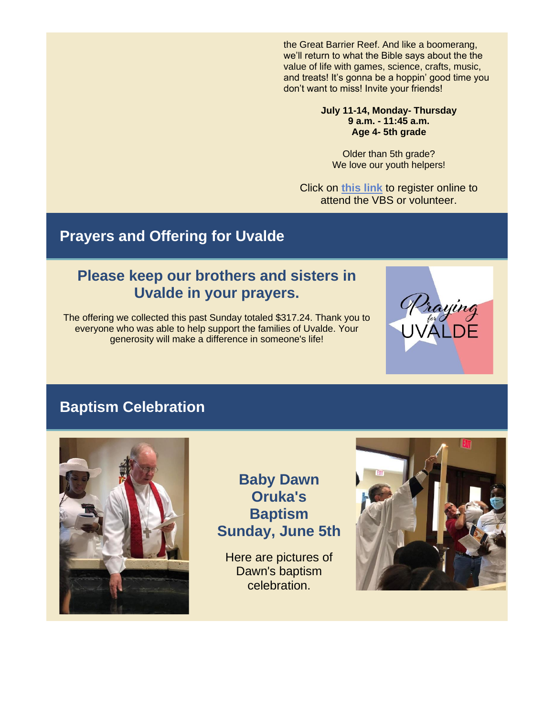the Great Barrier Reef. And like a boomerang, we'll return to what the Bible says about the the value of life with games, science, crafts, music, and treats! It's gonna be a hoppin' good time you don't want to miss! Invite your friends!

#### **July 11-14, Monday- Thursday 9 a.m. - 11:45 a.m. Age 4- 5th grade**

Older than 5th grade? We love our youth helpers!

Click on **[this link](https://r20.rs6.net/tn.jsp?f=001HgR7Xef5OkNrz1zCzuE4AZRmwIznpm9rI-njH02Uge3Ffbw49ZCfT6_zJ0xLkJJ9c-45B8FF0tpJcyJn9eEyVlrdW253JWH2wyik_rbH16_OL5U3Sp0R4lG8bIDWoMFJ98VH9YMNpk-360hGDUx0YPg7cfILtscfcI655Of3fZLP7AdmMWW1p1DKgrmQ81Ko4kjYasmjUhVlxrjhyFRKP5qdDgVl4mu9JB9Iu9lE4ShQu2ZPbReAMyCI-G2KedETvZYpKLLJUWI=&c=UhQhzr1TWp-i_XAVLLpvnNZ_Fts1IqUHWmZOF75btaVxBa07JDqMQA==&ch=Tyim6LnlW2vJXjsoPMrO1XyAy6OlkTSeRJIGpYUFNrk_CgfmoTz7oQ==)** to register online to attend the VBS or volunteer.

## **Prayers and Offering for Uvalde**

#### **Please keep our brothers and sisters in Uvalde in your prayers.**

The offering we collected this past Sunday totaled \$317.24. Thank you to everyone who was able to help support the families of Uvalde. Your generosity will make a difference in someone's life!



## **Baptism Celebration**



**Baby Dawn Oruka's Baptism Sunday, June 5th**

Here are pictures of Dawn's baptism celebration.

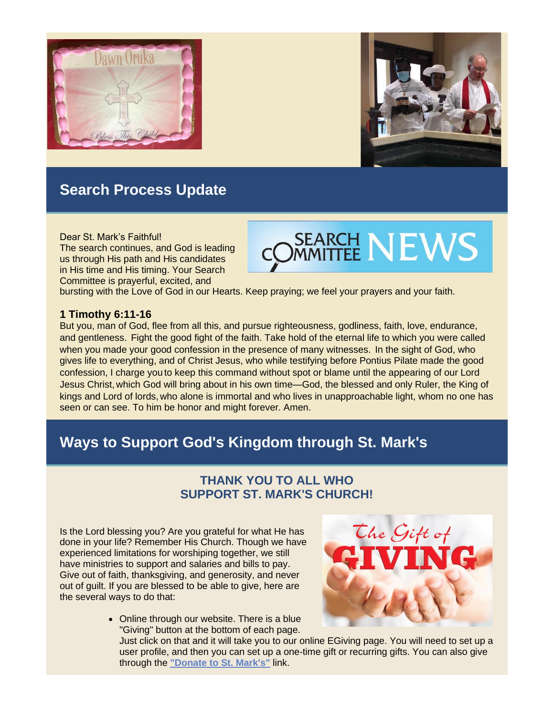



## **Search Process Update**

#### Dear St. Mark's Faithful!

The search continues, and God is leading us through His path and His candidates in His time and His timing. Your Search Committee is prayerful, excited, and

# **SEARCH NEWS**

bursting with the Love of God in our Hearts. Keep praying; we feel your prayers and your faith.

#### **1 Timothy 6:11-16**

But you, man of God, flee from all this, and pursue righteousness, godliness, faith, love, endurance, and gentleness. Fight the good fight of the faith. Take hold of the eternal life to which you were called when you made your good confession in the presence of many witnesses. In the sight of God, who gives life to everything, and of Christ Jesus, who while testifying before Pontius Pilate made the good confession, I charge you to keep this command without spot or blame until the appearing of our Lord Jesus Christ, which God will bring about in his own time—God, the blessed and only Ruler, the King of kings and Lord of lords, who alone is immortal and who lives in unapproachable light, whom no one has seen or can see. To him be honor and might forever. Amen.

## **Ways to Support God's Kingdom through St. Mark's**

#### **THANK YOU TO ALL WHO SUPPORT ST. MARK'S CHURCH!**

Is the Lord blessing you? Are you grateful for what He has done in your life? Remember His Church. Though we have experienced limitations for worshiping together, we still have ministries to support and salaries and bills to pay. Give out of faith, thanksgiving, and generosity, and never out of guilt. If you are blessed to be able to give, here are the several ways to do that:



• Online through our website. There is a blue "Giving" button at the bottom of each page.

Just click on that and it will take you to our online EGiving page. You will need to set up a user profile, and then you can set up a one-time gift or recurring gifts. You can also give through the **["Donate to St. Mark's"](https://r20.rs6.net/tn.jsp?f=001HgR7Xef5OkNrz1zCzuE4AZRmwIznpm9rI-njH02Uge3Ffbw49ZCfT0A0kRBsRjaYhaIorPxAFLp33DkmEf-bxKRn2YMGw8AQqk2i6OERLTQm_1EyLfRUuGFizCe4COR-woC7NIXQQQK3jXIe7xELJm7w8lW5CpSHqRtWVLhkyRepGxCqcigneE57B8QfB7x7mFxh7lCHV6CAI-q-db74hiQnpfiY7qQvxMW6sYqIMuvw8zqwXU3hQcT7AC-5mM72KLwdiypDuOnvGJL6lVM1xBRYIu3bo8KIfk8segcKoKwUDi4uXyEcC8tMnMctQPLYx8y-EwZ_1ywcRrT3wEx7I1bIb-MutGR14davJE-GxVQ=&c=UhQhzr1TWp-i_XAVLLpvnNZ_Fts1IqUHWmZOF75btaVxBa07JDqMQA==&ch=Tyim6LnlW2vJXjsoPMrO1XyAy6OlkTSeRJIGpYUFNrk_CgfmoTz7oQ==)** link.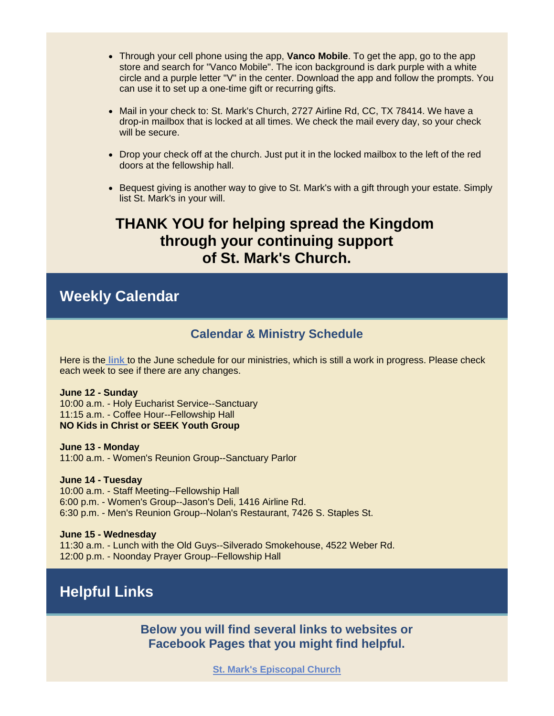- Through your cell phone using the app, **Vanco Mobile**. To get the app, go to the app store and search for "Vanco Mobile". The icon background is dark purple with a white circle and a purple letter "V" in the center. Download the app and follow the prompts. You can use it to set up a one-time gift or recurring gifts.
- Mail in your check to: St. Mark's Church, 2727 Airline Rd, CC, TX 78414. We have a drop-in mailbox that is locked at all times. We check the mail every day, so your check will be secure.
- Drop your check off at the church. Just put it in the locked mailbox to the left of the red doors at the fellowship hall.
- Bequest giving is another way to give to St. Mark's with a gift through your estate. Simply list St. Mark's in your will.

#### **THANK YOU for helping spread the Kingdom through your continuing support of St. Mark's Church.**

#### **Weekly Calendar**

#### **Calendar & Ministry Schedule**

Here is the **[link](https://r20.rs6.net/tn.jsp?f=001HgR7Xef5OkNrz1zCzuE4AZRmwIznpm9rI-njH02Uge3Ffbw49ZCfT9d5ys8yqZShMF-7cY5sqevHNMvSAuHCTn1iTgu8wPe9sg9tpkO7Jgmu4KQU8nakq-vnZ-MbyEwBReAqRU-Mgb3dNjioczXCgnUvbYm0iNoiMJGx2bblb_Lg3EVUzg0cVrA86ck29D-bKiGned2elVwL2aCqKve_XLWrx6_MDVUXPkZ4DolwTB0=&c=UhQhzr1TWp-i_XAVLLpvnNZ_Fts1IqUHWmZOF75btaVxBa07JDqMQA==&ch=Tyim6LnlW2vJXjsoPMrO1XyAy6OlkTSeRJIGpYUFNrk_CgfmoTz7oQ==)** to the June schedule for our ministries, which is still a work in progress. Please check each week to see if there are any changes.

#### **June 12 - Sunday**

10:00 a.m. - Holy Eucharist Service--Sanctuary 11:15 a.m. - Coffee Hour--Fellowship Hall **NO Kids in Christ or SEEK Youth Group**

**June 13 - Monday** 11:00 a.m. - Women's Reunion Group--Sanctuary Parlor

**June 14 - Tuesday**

10:00 a.m. - Staff Meeting--Fellowship Hall 6:00 p.m. - Women's Group--Jason's Deli, 1416 Airline Rd. 6:30 p.m. - Men's Reunion Group--Nolan's Restaurant, 7426 S. Staples St.

**June 15 - Wednesday** 11:30 a.m. - Lunch with the Old Guys--Silverado Smokehouse, 4522 Weber Rd. 12:00 p.m. - Noonday Prayer Group--Fellowship Hall

## **Helpful Links**

**Below you will find several links to websites or Facebook Pages that you might find helpful.** 

**[St. Mark's Episcopal Church](https://r20.rs6.net/tn.jsp?f=001HgR7Xef5OkNrz1zCzuE4AZRmwIznpm9rI-njH02Uge3Ffbw49ZCfT68wIZqQzFzMmf2I2wFEvcdhxDEH35wPTv--2LSXs2348a0AmsCfVtLLbssRDrxo9inYA8T0h3L-gV4f9DMcsNM=&c=UhQhzr1TWp-i_XAVLLpvnNZ_Fts1IqUHWmZOF75btaVxBa07JDqMQA==&ch=Tyim6LnlW2vJXjsoPMrO1XyAy6OlkTSeRJIGpYUFNrk_CgfmoTz7oQ==)**